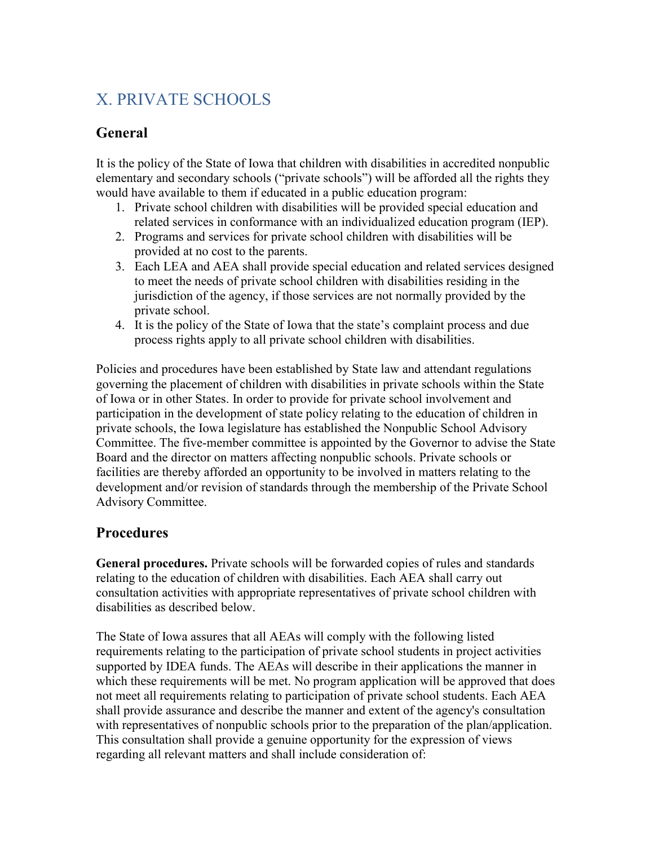# X. PRIVATE SCHOOLS

### **General**

It is the policy of the State of Iowa that children with disabilities in accredited nonpublic elementary and secondary schools ("private schools") will be afforded all the rights they would have available to them if educated in a public education program:

- 1. Private school children with disabilities will be provided special education and related services in conformance with an individualized education program (IEP).
- 2. Programs and services for private school children with disabilities will be provided at no cost to the parents.
- 3. Each LEA and AEA shall provide special education and related services designed to meet the needs of private school children with disabilities residing in the jurisdiction of the agency, if those services are not normally provided by the private school.
- 4. It is the policy of the State of Iowa that the state's complaint process and due process rights apply to all private school children with disabilities.

Policies and procedures have been established by State law and attendant regulations governing the placement of children with disabilities in private schools within the State of Iowa or in other States. In order to provide for private school involvement and participation in the development of state policy relating to the education of children in private schools, the Iowa legislature has established the Nonpublic School Advisory Committee. The five-member committee is appointed by the Governor to advise the State Board and the director on matters affecting nonpublic schools. Private schools or facilities are thereby afforded an opportunity to be involved in matters relating to the development and/or revision of standards through the membership of the Private School Advisory Committee.

## **Procedures**

**General procedures.** Private schools will be forwarded copies of rules and standards relating to the education of children with disabilities. Each AEA shall carry out consultation activities with appropriate representatives of private school children with disabilities as described below.

The State of Iowa assures that all AEAs will comply with the following listed requirements relating to the participation of private school students in project activities supported by IDEA funds. The AEAs will describe in their applications the manner in which these requirements will be met. No program application will be approved that does not meet all requirements relating to participation of private school students. Each AEA shall provide assurance and describe the manner and extent of the agency's consultation with representatives of nonpublic schools prior to the preparation of the plan/application. This consultation shall provide a genuine opportunity for the expression of views regarding all relevant matters and shall include consideration of: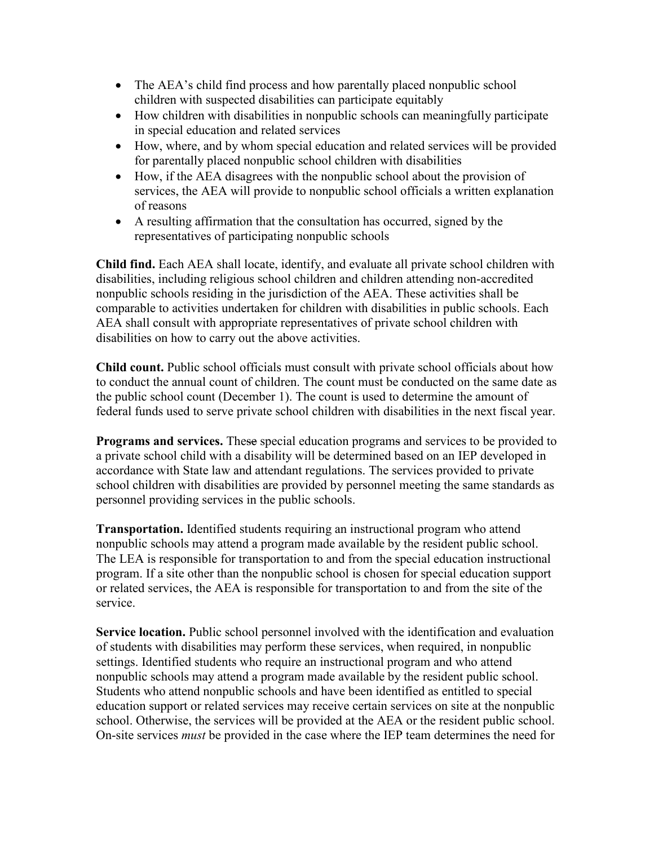- The AEA's child find process and how parentally placed nonpublic school children with suspected disabilities can participate equitably
- How children with disabilities in nonpublic schools can meaningfully participate in special education and related services
- How, where, and by whom special education and related services will be provided for parentally placed nonpublic school children with disabilities
- How, if the AEA disagrees with the nonpublic school about the provision of services, the AEA will provide to nonpublic school officials a written explanation of reasons
- A resulting affirmation that the consultation has occurred, signed by the representatives of participating nonpublic schools

**Child find.** Each AEA shall locate, identify, and evaluate all private school children with disabilities, including religious school children and children attending non-accredited nonpublic schools residing in the jurisdiction of the AEA. These activities shall be comparable to activities undertaken for children with disabilities in public schools. Each AEA shall consult with appropriate representatives of private school children with disabilities on how to carry out the above activities.

**Child count.** Public school officials must consult with private school officials about how to conduct the annual count of children. The count must be conducted on the same date as the public school count (December 1). The count is used to determine the amount of federal funds used to serve private school children with disabilities in the next fiscal year.

**Programs and services.** These special education programs and services to be provided to a private school child with a disability will be determined based on an IEP developed in accordance with State law and attendant regulations. The services provided to private school children with disabilities are provided by personnel meeting the same standards as personnel providing services in the public schools.

**Transportation.** Identified students requiring an instructional program who attend nonpublic schools may attend a program made available by the resident public school. The LEA is responsible for transportation to and from the special education instructional program. If a site other than the nonpublic school is chosen for special education support or related services, the AEA is responsible for transportation to and from the site of the service.

**Service location.** Public school personnel involved with the identification and evaluation of students with disabilities may perform these services, when required, in nonpublic settings. Identified students who require an instructional program and who attend nonpublic schools may attend a program made available by the resident public school. Students who attend nonpublic schools and have been identified as entitled to special education support or related services may receive certain services on site at the nonpublic school. Otherwise, the services will be provided at the AEA or the resident public school. On-site services *must* be provided in the case where the IEP team determines the need for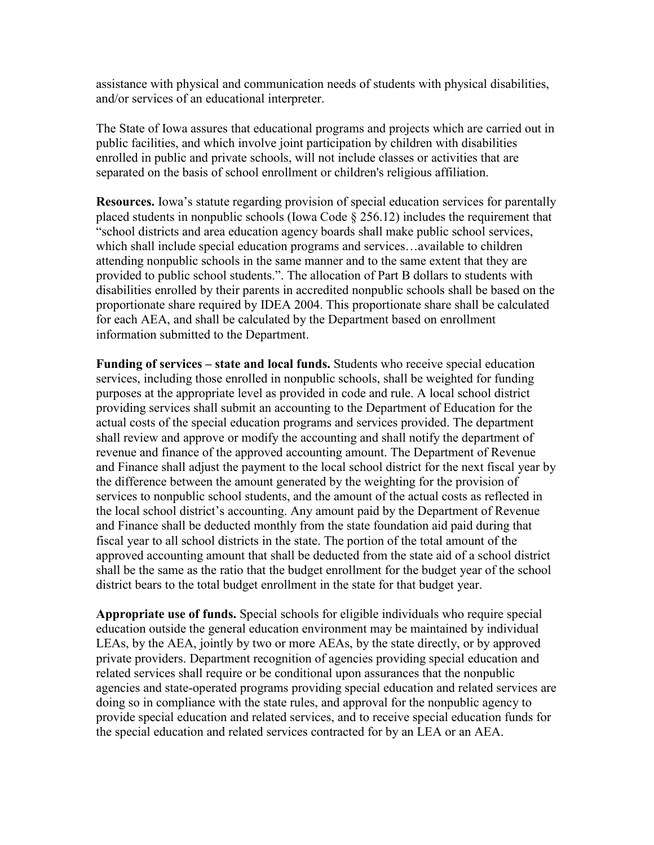assistance with physical and communication needs of students with physical disabilities, and/or services of an educational interpreter.

The State of Iowa assures that educational programs and projects which are carried out in public facilities, and which involve joint participation by children with disabilities enrolled in public and private schools, will not include classes or activities that are separated on the basis of school enrollment or children's religious affiliation.

**Resources.** Iowa's statute regarding provision of special education services for parentally placed students in nonpublic schools (Iowa Code § 256.12) includes the requirement that "school districts and area education agency boards shall make public school services, which shall include special education programs and services…available to children attending nonpublic schools in the same manner and to the same extent that they are provided to public school students.". The allocation of Part B dollars to students with disabilities enrolled by their parents in accredited nonpublic schools shall be based on the proportionate share required by IDEA 2004. This proportionate share shall be calculated for each AEA, and shall be calculated by the Department based on enrollment information submitted to the Department.

**Funding of services – state and local funds.** Students who receive special education services, including those enrolled in nonpublic schools, shall be weighted for funding purposes at the appropriate level as provided in code and rule. A local school district providing services shall submit an accounting to the Department of Education for the actual costs of the special education programs and services provided. The department shall review and approve or modify the accounting and shall notify the department of revenue and finance of the approved accounting amount. The Department of Revenue and Finance shall adjust the payment to the local school district for the next fiscal year by the difference between the amount generated by the weighting for the provision of services to nonpublic school students, and the amount of the actual costs as reflected in the local school district's accounting. Any amount paid by the Department of Revenue and Finance shall be deducted monthly from the state foundation aid paid during that fiscal year to all school districts in the state. The portion of the total amount of the approved accounting amount that shall be deducted from the state aid of a school district shall be the same as the ratio that the budget enrollment for the budget year of the school district bears to the total budget enrollment in the state for that budget year.

**Appropriate use of funds.** Special schools for eligible individuals who require special education outside the general education environment may be maintained by individual LEAs, by the AEA, jointly by two or more AEAs, by the state directly, or by approved private providers. Department recognition of agencies providing special education and related services shall require or be conditional upon assurances that the nonpublic agencies and state-operated programs providing special education and related services are doing so in compliance with the state rules, and approval for the nonpublic agency to provide special education and related services, and to receive special education funds for the special education and related services contracted for by an LEA or an AEA.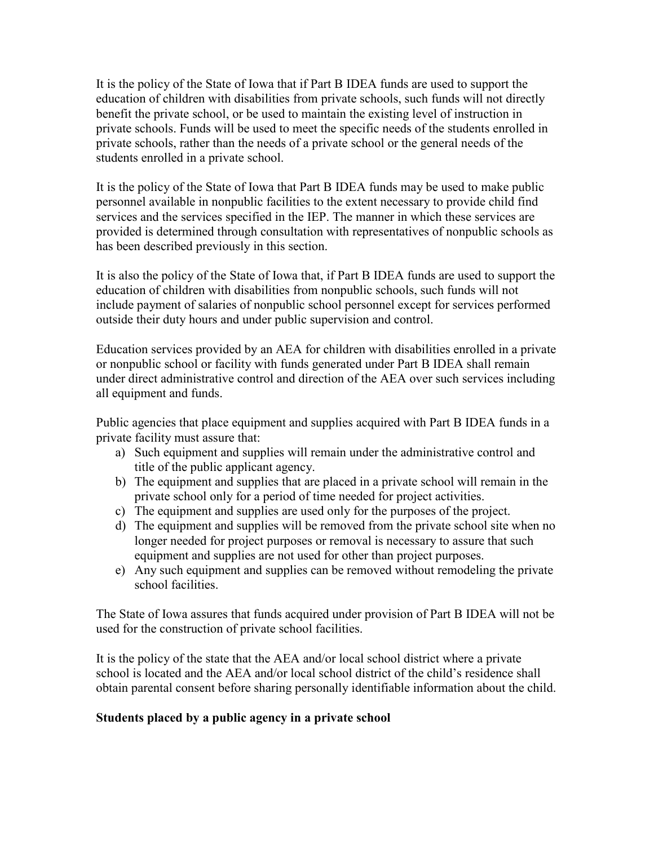It is the policy of the State of Iowa that if Part B IDEA funds are used to support the education of children with disabilities from private schools, such funds will not directly benefit the private school, or be used to maintain the existing level of instruction in private schools. Funds will be used to meet the specific needs of the students enrolled in private schools, rather than the needs of a private school or the general needs of the students enrolled in a private school.

It is the policy of the State of Iowa that Part B IDEA funds may be used to make public personnel available in nonpublic facilities to the extent necessary to provide child find services and the services specified in the IEP. The manner in which these services are provided is determined through consultation with representatives of nonpublic schools as has been described previously in this section.

It is also the policy of the State of Iowa that, if Part B IDEA funds are used to support the education of children with disabilities from nonpublic schools, such funds will not include payment of salaries of nonpublic school personnel except for services performed outside their duty hours and under public supervision and control.

Education services provided by an AEA for children with disabilities enrolled in a private or nonpublic school or facility with funds generated under Part B IDEA shall remain under direct administrative control and direction of the AEA over such services including all equipment and funds.

Public agencies that place equipment and supplies acquired with Part B IDEA funds in a private facility must assure that:

- a) Such equipment and supplies will remain under the administrative control and title of the public applicant agency.
- b) The equipment and supplies that are placed in a private school will remain in the private school only for a period of time needed for project activities.
- c) The equipment and supplies are used only for the purposes of the project.
- d) The equipment and supplies will be removed from the private school site when no longer needed for project purposes or removal is necessary to assure that such equipment and supplies are not used for other than project purposes.
- e) Any such equipment and supplies can be removed without remodeling the private school facilities.

The State of Iowa assures that funds acquired under provision of Part B IDEA will not be used for the construction of private school facilities.

It is the policy of the state that the AEA and/or local school district where a private school is located and the AEA and/or local school district of the child's residence shall obtain parental consent before sharing personally identifiable information about the child.

#### **Students placed by a public agency in a private school**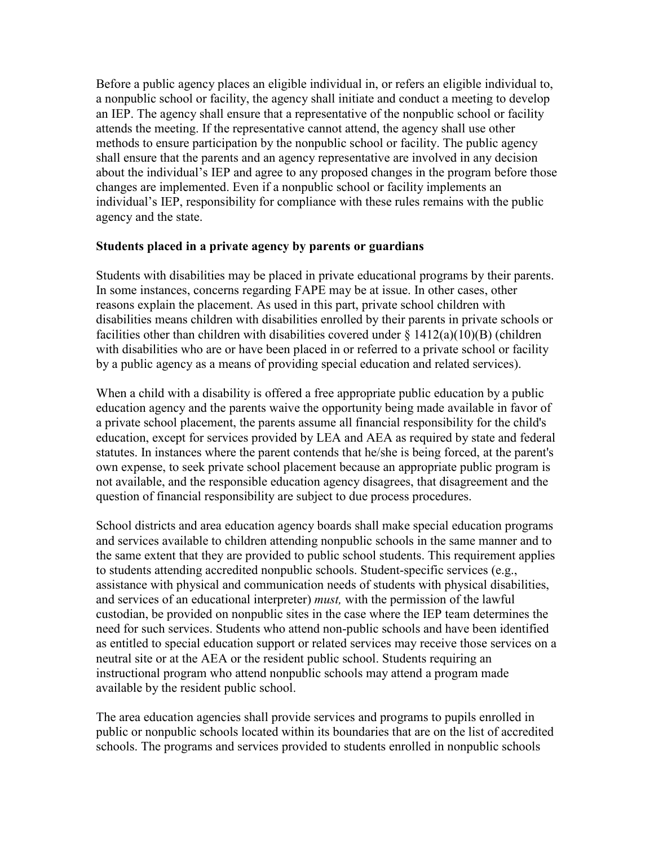Before a public agency places an eligible individual in, or refers an eligible individual to, a nonpublic school or facility, the agency shall initiate and conduct a meeting to develop an IEP. The agency shall ensure that a representative of the nonpublic school or facility attends the meeting. If the representative cannot attend, the agency shall use other methods to ensure participation by the nonpublic school or facility. The public agency shall ensure that the parents and an agency representative are involved in any decision about the individual's IEP and agree to any proposed changes in the program before those changes are implemented. Even if a nonpublic school or facility implements an individual's IEP, responsibility for compliance with these rules remains with the public agency and the state.

#### **Students placed in a private agency by parents or guardians**

Students with disabilities may be placed in private educational programs by their parents. In some instances, concerns regarding FAPE may be at issue. In other cases, other reasons explain the placement. As used in this part, private school children with disabilities means children with disabilities enrolled by their parents in private schools or facilities other than children with disabilities covered under  $\S 1412(a)(10)(B)$  (children with disabilities who are or have been placed in or referred to a private school or facility by a public agency as a means of providing special education and related services).

When a child with a disability is offered a free appropriate public education by a public education agency and the parents waive the opportunity being made available in favor of a private school placement, the parents assume all financial responsibility for the child's education, except for services provided by LEA and AEA as required by state and federal statutes. In instances where the parent contends that he/she is being forced, at the parent's own expense, to seek private school placement because an appropriate public program is not available, and the responsible education agency disagrees, that disagreement and the question of financial responsibility are subject to due process procedures.

School districts and area education agency boards shall make special education programs and services available to children attending nonpublic schools in the same manner and to the same extent that they are provided to public school students. This requirement applies to students attending accredited nonpublic schools. Student-specific services (e.g., assistance with physical and communication needs of students with physical disabilities, and services of an educational interpreter) *must,* with the permission of the lawful custodian, be provided on nonpublic sites in the case where the IEP team determines the need for such services. Students who attend non-public schools and have been identified as entitled to special education support or related services may receive those services on a neutral site or at the AEA or the resident public school. Students requiring an instructional program who attend nonpublic schools may attend a program made available by the resident public school.

The area education agencies shall provide services and programs to pupils enrolled in public or nonpublic schools located within its boundaries that are on the list of accredited schools. The programs and services provided to students enrolled in nonpublic schools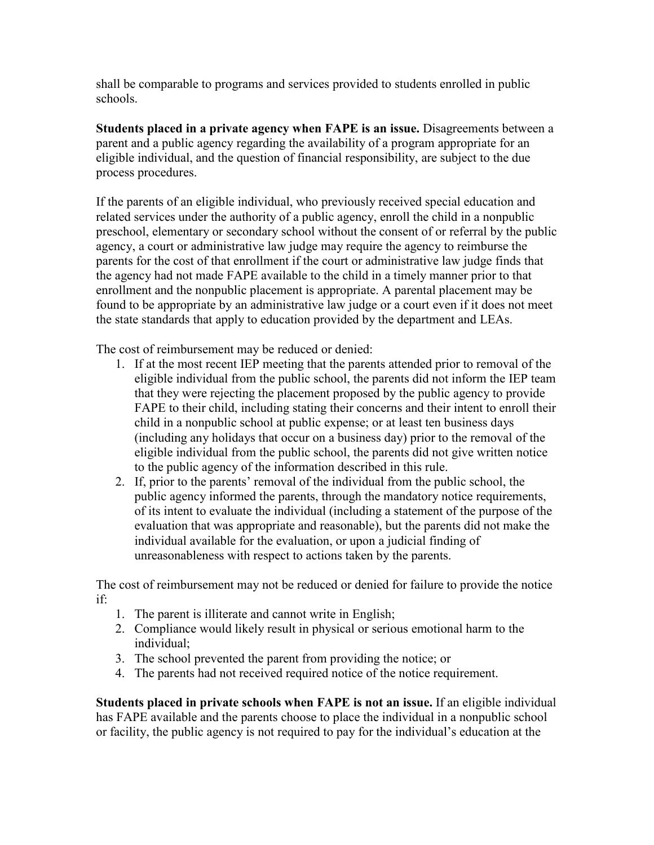shall be comparable to programs and services provided to students enrolled in public schools.

**Students placed in a private agency when FAPE is an issue.** Disagreements between a parent and a public agency regarding the availability of a program appropriate for an eligible individual, and the question of financial responsibility, are subject to the due process procedures.

If the parents of an eligible individual, who previously received special education and related services under the authority of a public agency, enroll the child in a nonpublic preschool, elementary or secondary school without the consent of or referral by the public agency, a court or administrative law judge may require the agency to reimburse the parents for the cost of that enrollment if the court or administrative law judge finds that the agency had not made FAPE available to the child in a timely manner prior to that enrollment and the nonpublic placement is appropriate. A parental placement may be found to be appropriate by an administrative law judge or a court even if it does not meet the state standards that apply to education provided by the department and LEAs.

The cost of reimbursement may be reduced or denied:

- 1. If at the most recent IEP meeting that the parents attended prior to removal of the eligible individual from the public school, the parents did not inform the IEP team that they were rejecting the placement proposed by the public agency to provide FAPE to their child, including stating their concerns and their intent to enroll their child in a nonpublic school at public expense; or at least ten business days (including any holidays that occur on a business day) prior to the removal of the eligible individual from the public school, the parents did not give written notice to the public agency of the information described in this rule.
- 2. If, prior to the parents' removal of the individual from the public school, the public agency informed the parents, through the mandatory notice requirements, of its intent to evaluate the individual (including a statement of the purpose of the evaluation that was appropriate and reasonable), but the parents did not make the individual available for the evaluation, or upon a judicial finding of unreasonableness with respect to actions taken by the parents.

The cost of reimbursement may not be reduced or denied for failure to provide the notice if:

- 1. The parent is illiterate and cannot write in English;
- 2. Compliance would likely result in physical or serious emotional harm to the individual;
- 3. The school prevented the parent from providing the notice; or
- 4. The parents had not received required notice of the notice requirement.

**Students placed in private schools when FAPE is not an issue.** If an eligible individual has FAPE available and the parents choose to place the individual in a nonpublic school or facility, the public agency is not required to pay for the individual's education at the